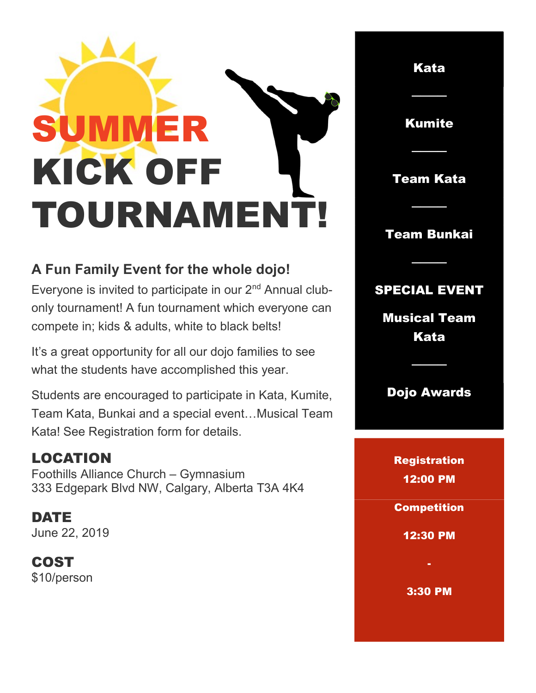## SUMMER KICK OFF TOURNAMENT!

## A Fun Family Event for the whole dojo!

Everyone is invited to participate in our 2<sup>nd</sup> Annual clubonly tournament! A fun tournament which everyone can compete in; kids & adults, white to black belts!

It's a great opportunity for all our dojo families to see what the students have accomplished this year.

Students are encouraged to participate in Kata, Kumite, Team Kata, Bunkai and a special event…Musical Team Kata! See Registration form for details.

## LOCATION

Foothills Alliance Church – Gymnasium 333 Edgepark Blvd NW, Calgary, Alberta T3A 4K4

DATE June 22, 2019

COST \$10/person

Kata ──── Kumite ──── Team Kata ──── Team Bunkai ──── SPECIAL EVENT Musical Team Kata ──── Dojo Awards **Registration** 12:00 PM **Competition** 12:30 PM - 3:30 PM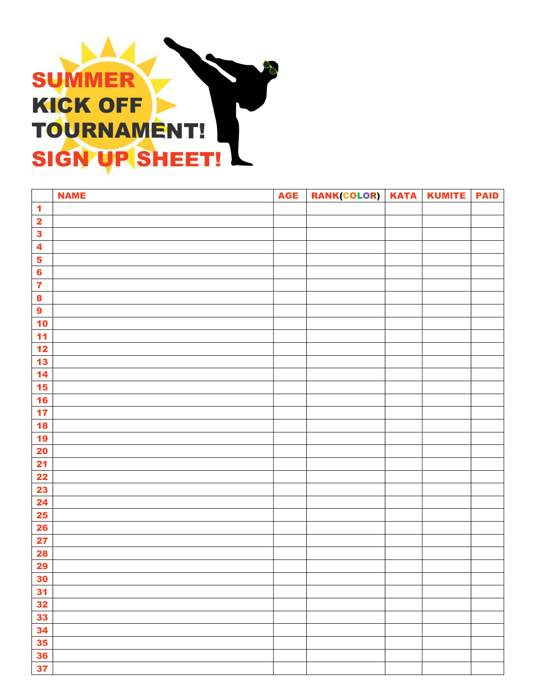## SUMMER KICK OFF TOURNAMENT! SIGN UP SHEET!

|                         | <b>NAME</b> | <b>AGE</b> | RANK(COLOR)   KATA | <b>KUMITE</b> | <b>PAID</b> |
|-------------------------|-------------|------------|--------------------|---------------|-------------|
| $\blacktriangleleft$    |             |            |                    |               |             |
| $\overline{\mathbf{2}}$ |             |            |                    |               |             |
| $\overline{\mathbf{3}}$ |             |            |                    |               |             |
| $\overline{\mathbf{4}}$ |             |            |                    |               |             |
| $\overline{\mathbf{5}}$ |             |            |                    |               |             |
| $6\phantom{a}$          |             |            |                    |               |             |
| $\overline{\mathbf{z}}$ |             |            |                    |               |             |
| $\bf{8}$                |             |            |                    |               |             |
| $\boldsymbol{9}$        |             |            |                    |               |             |
| 10                      |             |            |                    |               |             |
| 11                      |             |            |                    |               |             |
| $12$                    |             |            |                    |               |             |
| 13                      |             |            |                    |               |             |
| $14$                    |             |            |                    |               |             |
| 15                      |             |            |                    |               |             |
| 16                      |             |            |                    |               |             |
| 17                      |             |            |                    |               |             |
| 18                      |             |            |                    |               |             |
| 19                      |             |            |                    |               |             |
| <b>20</b>               |             |            |                    |               |             |
| 21                      |             |            |                    |               |             |
| 22                      |             |            |                    |               |             |
| 23                      |             |            |                    |               |             |
| 24                      |             |            |                    |               |             |
| <b>25</b>               |             |            |                    |               |             |
| <b>26</b>               |             |            |                    |               |             |
| 27                      |             |            |                    |               |             |
| <b>28</b>               |             |            |                    |               |             |
| 29                      |             |            |                    |               |             |
| 30                      |             |            |                    |               |             |
| 31                      |             |            |                    |               |             |
| 32                      |             |            |                    |               |             |
| 33                      |             |            |                    |               |             |
| 34                      |             |            |                    |               |             |
| 35                      |             |            |                    |               |             |
| 36                      |             |            |                    |               |             |
| 37                      |             |            |                    |               |             |